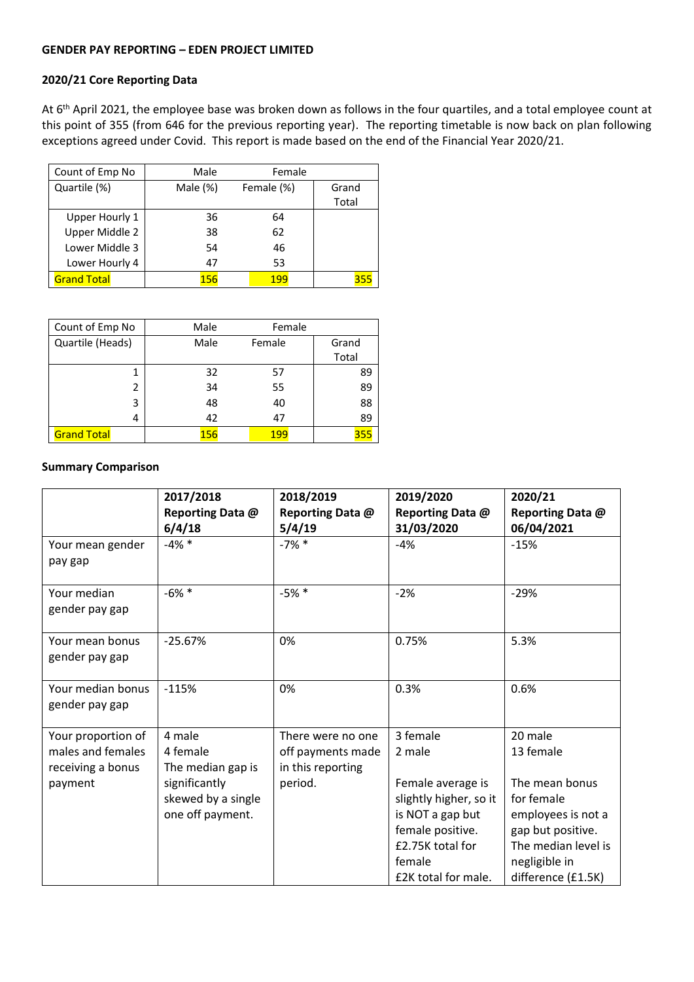### **GENDER PAY REPORTING – EDEN PROJECT LIMITED**

# **2020/21 Core Reporting Data**

At 6<sup>th</sup> April 2021, the employee base was broken down as follows in the four quartiles, and a total employee count at this point of 355 (from 646 for the previous reporting year). The reporting timetable is now back on plan following exceptions agreed under Covid. This report is made based on the end of the Financial Year 2020/21.

| Count of Emp No    | Male        | Female     |       |
|--------------------|-------------|------------|-------|
| Quartile (%)       | Male $(\%)$ | Female (%) | Grand |
|                    |             |            | Total |
| Upper Hourly 1     | 36          | 64         |       |
| Upper Middle 2     | 38          | 62         |       |
| Lower Middle 3     | 54          | 46         |       |
| Lower Hourly 4     | 47          | 53         |       |
| <b>Grand Total</b> | 156         | 199        | 355   |

| Count of Emp No    | Male | Female |       |
|--------------------|------|--------|-------|
| Quartile (Heads)   | Male | Female | Grand |
|                    |      |        | Total |
| 1                  | 32   | 57     | 89    |
| 2                  | 34   | 55     | 89    |
| 3                  | 48   | 40     | 88    |
| 4                  | 42   | 47     | 89    |
| <b>Grand Total</b> | 156  | 199    | 355   |

#### **Summary Comparison**

|                                                                         | 2017/2018                                                                                          | 2018/2019                                                              | 2019/2020                                                                                                                               | 2020/21                                                                                                                                 |
|-------------------------------------------------------------------------|----------------------------------------------------------------------------------------------------|------------------------------------------------------------------------|-----------------------------------------------------------------------------------------------------------------------------------------|-----------------------------------------------------------------------------------------------------------------------------------------|
|                                                                         | Reporting Data @<br>6/4/18                                                                         | Reporting Data @<br>5/4/19                                             | Reporting Data @<br>31/03/2020                                                                                                          | Reporting Data @<br>06/04/2021                                                                                                          |
| Your mean gender<br>pay gap                                             | $-4\%$ *                                                                                           | $-7\%$ *                                                               | $-4%$                                                                                                                                   | $-15%$                                                                                                                                  |
| Your median<br>gender pay gap                                           | $-6\%$ *                                                                                           | $-5%$ *                                                                | $-2%$                                                                                                                                   | $-29%$                                                                                                                                  |
| Your mean bonus<br>gender pay gap                                       | $-25.67%$                                                                                          | 0%                                                                     | 0.75%                                                                                                                                   | 5.3%                                                                                                                                    |
| Your median bonus<br>gender pay gap                                     | $-115%$                                                                                            | 0%                                                                     | 0.3%                                                                                                                                    | 0.6%                                                                                                                                    |
| Your proportion of<br>males and females<br>receiving a bonus<br>payment | 4 male<br>4 female<br>The median gap is<br>significantly<br>skewed by a single<br>one off payment. | There were no one<br>off payments made<br>in this reporting<br>period. | 3 female<br>2 male<br>Female average is<br>slightly higher, so it<br>is NOT a gap but<br>female positive.<br>£2.75K total for<br>female | 20 male<br>13 female<br>The mean bonus<br>for female<br>employees is not a<br>gap but positive.<br>The median level is<br>negligible in |
|                                                                         |                                                                                                    |                                                                        | £2K total for male.                                                                                                                     | difference (£1.5K)                                                                                                                      |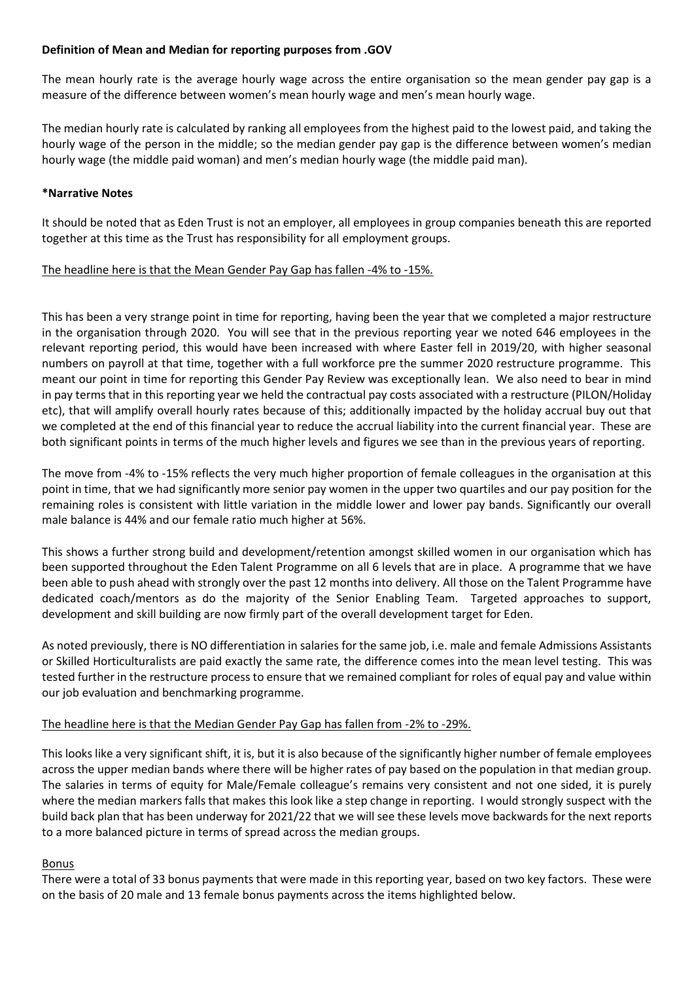# **Definition of Mean and Median for reporting purposes from .GOV**

The mean hourly rate is the average hourly wage across the entire organisation so the mean gender pay gap is a measure of the difference between women's mean hourly wage and men's mean hourly wage.

The median hourly rate is calculated by ranking all employees from the highest paid to the lowest paid, and taking the hourly wage of the person in the middle; so the median gender pay gap is the difference between women's median hourly wage (the middle paid woman) and men's median hourly wage (the middle paid man).

# **\*Narrative Notes**

It should be noted that as Eden Trust is not an employer, all employees in group companies beneath this are reported together at this time as the Trust has responsibility for all employment groups.

# The headline here is that the Mean Gender Pay Gap has fallen -4% to -15%.

This has been a very strange point in time for reporting, having been the year that we completed a major restructure in the organisation through 2020. You will see that in the previous reporting year we noted 646 employees in the relevant reporting period, this would have been increased with where Easter fell in 2019/20, with higher seasonal numbers on payroll at that time, together with a full workforce pre the summer 2020 restructure programme. This meant our point in time for reporting this Gender Pay Review was exceptionally lean. We also need to bear in mind in pay terms that in this reporting year we held the contractual pay costs associated with a restructure (PILON/Holiday etc), that will amplify overall hourly rates because of this; additionally impacted by the holiday accrual buy out that we completed at the end of this financial year to reduce the accrual liability into the current financial year. These are both significant points in terms of the much higher levels and figures we see than in the previous years of reporting.

The move from -4% to -15% reflects the very much higher proportion of female colleagues in the organisation at this point in time, that we had significantly more senior pay women in the upper two quartiles and our pay position for the remaining roles is consistent with little variation in the middle lower and lower pay bands. Significantly our overall male balance is 44% and our female ratio much higher at 56%.

This shows a further strong build and development/retention amongst skilled women in our organisation which has been supported throughout the Eden Talent Programme on all 6 levels that are in place. A programme that we have been able to push ahead with strongly over the past 12 months into delivery. All those on the Talent Programme have dedicated coach/mentors as do the majority of the Senior Enabling Team. Targeted approaches to support, development and skill building are now firmly part of the overall development target for Eden.

As noted previously, there is NO differentiation in salaries for the same job, i.e. male and female Admissions Assistants or Skilled Horticulturalists are paid exactly the same rate, the difference comes into the mean level testing. This was tested further in the restructure process to ensure that we remained compliant for roles of equal pay and value within our job evaluation and benchmarking programme.

### The headline here is that the Median Gender Pay Gap has fallen from -2% to -29%.

This looks like a very significant shift, it is, but it is also because of the significantly higher number of female employees across the upper median bands where there will be higher rates of pay based on the population in that median group. The salaries in terms of equity for Male/Female colleague's remains very consistent and not one sided, it is purely where the median markers falls that makes this look like a step change in reporting. I would strongly suspect with the build back plan that has been underway for 2021/22 that we will see these levels move backwards for the next reports to a more balanced picture in terms of spread across the median groups.

### Bonus

There were a total of 33 bonus payments that were made in this reporting year, based on two key factors. These were on the basis of 20 male and 13 female bonus payments across the items highlighted below.